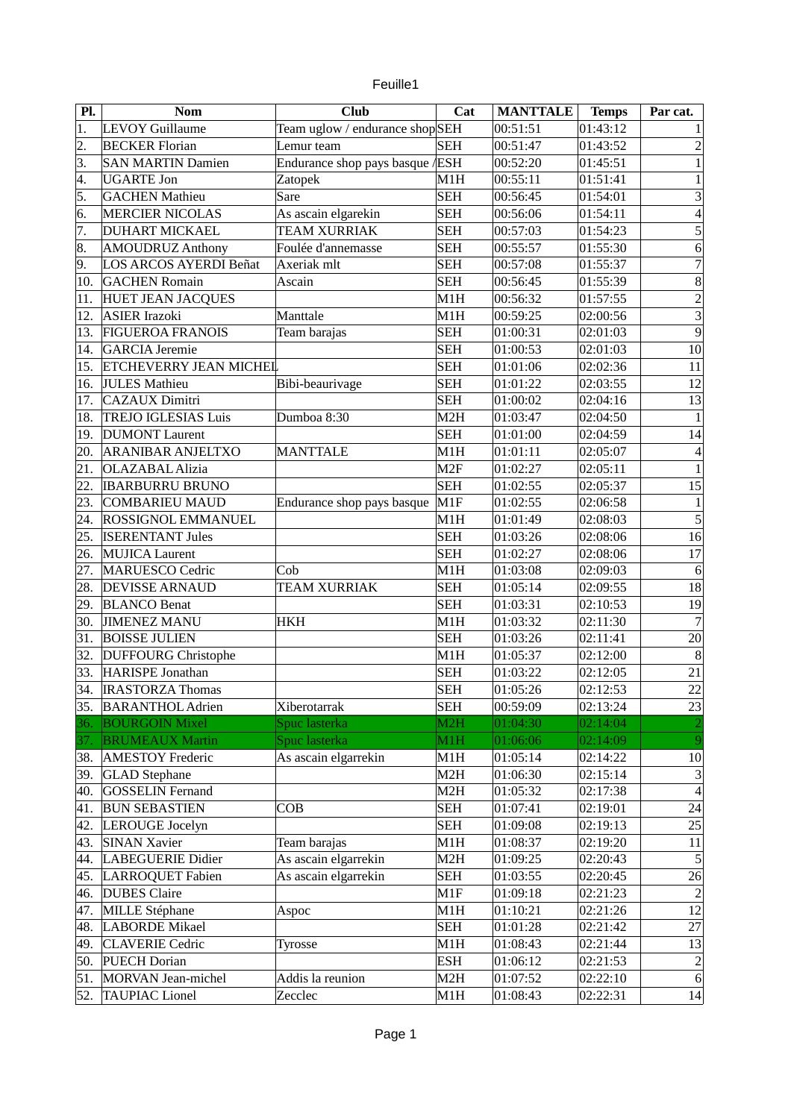|  | euille1 |
|--|---------|
|  |         |

| Pl.        | <b>Nom</b>                    | <b>Club</b>                     | Cat              | <b>MANTTALE</b> | <b>Temps</b> | Par cat.                 |
|------------|-------------------------------|---------------------------------|------------------|-----------------|--------------|--------------------------|
| $\vert$ 1. | <b>LEVOY Guillaume</b>        | Team uglow / endurance shopSEH  |                  | 00:51:51        | 01:43:12     |                          |
| 2.         | <b>BECKER Florian</b>         | Lemur team                      | <b>SEH</b>       | 00:51:47        | 01:43:52     | $\overline{a}$           |
| 3.         | <b>SAN MARTIN Damien</b>      | Endurance shop pays basque /ESH |                  | 00:52:20        | 01:45:51     | $\mathbf{1}$             |
| 4.         | <b>UGARTE Jon</b>             | Zatopek                         | M1H              | 00:55:11        | 01:51:41     | $\mathbf{1}$             |
| 5.         | <b>GACHEN Mathieu</b>         | Sare                            | <b>SEH</b>       | 00:56:45        | 01:54:01     | 3                        |
| 6.         | <b>MERCIER NICOLAS</b>        | As ascain elgarekin             | <b>SEH</b>       | 00:56:06        | 01:54:11     | $\overline{\mathcal{L}}$ |
| 7.         | <b>DUHART MICKAEL</b>         | <b>TEAM XURRIAK</b>             | <b>SEH</b>       | 00:57:03        | 01:54:23     | 5                        |
| 8.         | <b>AMOUDRUZ Anthony</b>       | Foulée d'annemasse              | <b>SEH</b>       | 00:55:57        | 01:55:30     | 6                        |
| 9.         | <b>LOS ARCOS AYERDI Beñat</b> | Axeriak mlt                     | <b>SEH</b>       | 00:57:08        | 01:55:37     | 7                        |
| 10.        | <b>GACHEN Romain</b>          | Ascain                          | <b>SEH</b>       | 00:56:45        | 01:55:39     | $\overline{8}$           |
| 11.        | <b>HUET JEAN JACQUES</b>      |                                 | M1H              | 00:56:32        | 01:57:55     |                          |
| 12.        | ASIER Irazoki                 | Manttale                        | M1H              | 00:59:25        | 02:00:56     | $\frac{2}{3}$            |
| 13.        | <b>FIGUEROA FRANOIS</b>       | Team barajas                    | <b>SEH</b>       | 01:00:31        | 02:01:03     | $\overline{9}$           |
| 14.        | <b>GARCIA Jeremie</b>         |                                 | <b>SEH</b>       | 01:00:53        | 02:01:03     | 10                       |
| 15.        | <b>ETCHEVERRY JEAN MICHEL</b> |                                 | <b>SEH</b>       | 01:01:06        | 02:02:36     | 11                       |
| 16.        | JULES Mathieu                 | Bibi-beaurivage                 | <b>SEH</b>       | 01:01:22        | 02:03:55     | 12                       |
| 17.        | <b>CAZAUX Dimitri</b>         |                                 | <b>SEH</b>       | 01:00:02        | 02:04:16     | 13                       |
| 18.        | <b>TREJO IGLESIAS Luis</b>    | Dumboa 8:30                     | M <sub>2</sub> H | 01:03:47        | 02:04:50     | $\mathbf{1}$             |
| 19.        | <b>DUMONT</b> Laurent         |                                 | <b>SEH</b>       | 01:01:00        | 02:04:59     | 14                       |
| 20.        | <b>ARANIBAR ANJELTXO</b>      | <b>MANTTALE</b>                 | M1H              | 01:01:11        | 02:05:07     | 4                        |
| 21.        | OLAZABAL Alizia               |                                 | M <sub>2F</sub>  | 01:02:27        | 02:05:11     | $\mathbf{1}$             |
| 22.        | <b>IBARBURRU BRUNO</b>        |                                 | <b>SEH</b>       | 01:02:55        | 02:05:37     | 15                       |
| 23.        | <b>COMBARIEU MAUD</b>         | Endurance shop pays basque      | M1F              | 01:02:55        | 02:06:58     | $\mathbf{1}$             |
| 24.        | <b>ROSSIGNOL EMMANUEL</b>     |                                 | M1H              | 01:01:49        | 02:08:03     | $\overline{5}$           |
| 25.        | <b>ISERENTANT Jules</b>       |                                 | <b>SEH</b>       | 01:03:26        | 02:08:06     | $\overline{16}$          |
| 26.        | <b>MUJICA Laurent</b>         |                                 | <b>SEH</b>       | 01:02:27        | 02:08:06     | 17                       |
| 27.        | <b>MARUESCO Cedric</b>        | Cob                             | M1H              | 01:03:08        | 02:09:03     | 6                        |
| 28.        | <b>DEVISSE ARNAUD</b>         | <b>TEAM XURRIAK</b>             | <b>SEH</b>       | 01:05:14        | 02:09:55     | 18                       |
| 29.        | <b>BLANCO Benat</b>           |                                 | <b>SEH</b>       | 01:03:31        | 02:10:53     | 19                       |
| 30.        | <b>JIMENEZ MANU</b>           | <b>HKH</b>                      | M1H              | 01:03:32        | 02:11:30     | $\overline{7}$           |
| 31.        | <b>BOISSE JULIEN</b>          |                                 | <b>SEH</b>       | 01:03:26        | 02:11:41     | 20                       |
| 32.        | <b>DUFFOURG Christophe</b>    |                                 | M1H              | 01:05:37        | 02:12:00     | 8                        |
| 33.        | HARISPE Jonathan              |                                 | <b>SEH</b>       | 01:03:22        | 02:12:05     | $\overline{21}$          |
| 34.        | <b>IRASTORZA Thomas</b>       |                                 | <b>SEH</b>       | 01:05:26        | 02:12:53     | $\overline{22}$          |
| 35.        | <b>BARANTHOL Adrien</b>       | Xiberotarrak                    | <b>SEH</b>       | 00:59:09        | 02:13:24     | 23                       |
| 36.        | <b>BOURGOIN Mixel</b>         | Spuc lasterka                   | M2H              | 01:04:30        | 02:14:04     |                          |
| 37.        | <b>BRUMEAUX Martin</b>        | Spuc lasterka                   | M1H              | 01:06:06        | 02:14:09     | 9                        |
| 38.        | <b>AMESTOY Frederic</b>       | As ascain elgarrekin            | M1H              | 01:05:14        | 02:14:22     | 10                       |
| 39.        | <b>GLAD</b> Stephane          |                                 | M2H              | 01:06:30        | 02:15:14     | 3                        |
| 40.        | <b>GOSSELIN Fernand</b>       |                                 | M2H              | 01:05:32        | 02:17:38     | $\overline{\mathcal{A}}$ |
| 41.        | <b>BUN SEBASTIEN</b>          | COB                             | <b>SEH</b>       | 01:07:41        | 02:19:01     | 24                       |
| 42.        | LEROUGE Jocelyn               |                                 | <b>SEH</b>       | 01:09:08        | 02:19:13     | 25                       |
| 43.        | <b>SINAN Xavier</b>           | Team barajas                    | M1H              | 01:08:37        | 02:19:20     | 11                       |
| 44.        | LABEGUERIE Didier             | As ascain elgarrekin            | M2H              | 01:09:25        | 02:20:43     | 5                        |
| 45.        | LARROQUET Fabien              | As ascain elgarrekin            | <b>SEH</b>       | 01:03:55        | 02:20:45     | 26                       |
| 46.        | <b>DUBES</b> Claire           |                                 | M1F              | 01:09:18        | 02:21:23     | $\overline{c}$           |
| 47.        | MILLE Stéphane                | Aspoc                           | M1H              | 01:10:21        | 02:21:26     | 12                       |
| 48.        | <b>LABORDE Mikael</b>         |                                 | <b>SEH</b>       | 01:01:28        | 02:21:42     | 27                       |
| 49.        | <b>CLAVERIE Cedric</b>        | Tyrosse                         | M1H              | 01:08:43        | 02:21:44     | 13                       |
| 50.        | <b>PUECH Dorian</b>           |                                 | <b>ESH</b>       | 01:06:12        | 02:21:53     |                          |
| 51.        | MORVAN Jean-michel            | Addis la reunion                | M2H              | 01:07:52        | 02:22:10     | $\frac{2}{6}$            |
| 52.        | <b>TAUPIAC Lionel</b>         | Zecclec                         | M1H              | 01:08:43        | 02:22:31     | 14                       |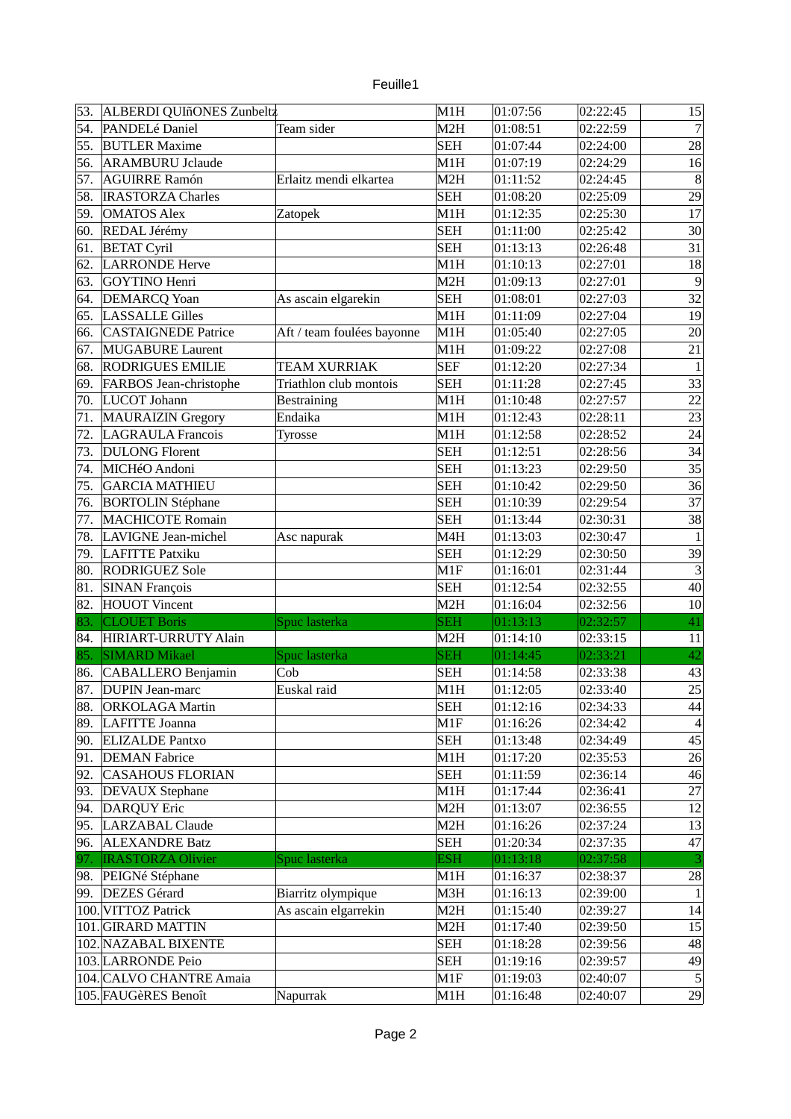| euille |  |
|--------|--|
|        |  |
|        |  |

| 53. | ALBERDI QUIñONES Zunbeltz  |                            | M1H              | 01:07:56 | 02:22:45 | 15              |
|-----|----------------------------|----------------------------|------------------|----------|----------|-----------------|
| 54. | PANDELé Daniel             | Team sider                 | M <sub>2</sub> H | 01:08:51 | 02:22:59 | $\overline{7}$  |
| 55. | <b>BUTLER Maxime</b>       |                            | <b>SEH</b>       | 01:07:44 | 02:24:00 | 28              |
| 56. | <b>ARAMBURU Jclaude</b>    |                            | M1H              | 01:07:19 | 02:24:29 | 16              |
| 57. | <b>AGUIRRE Ramón</b>       | Erlaitz mendi elkartea     | M <sub>2</sub> H | 01:11:52 | 02:24:45 | 8               |
| 58. | <b>IRASTORZA Charles</b>   |                            | <b>SEH</b>       | 01:08:20 | 02:25:09 | 29              |
| 59. | <b>OMATOS Alex</b>         | Zatopek                    | M1H              | 01:12:35 | 02:25:30 | 17              |
| 60. | REDAL Jérémy               |                            | <b>SEH</b>       | 01:11:00 | 02:25:42 | 30              |
| 61. | <b>BETAT Cyril</b>         |                            | <b>SEH</b>       | 01:13:13 | 02:26:48 | 31              |
| 62. | <b>LARRONDE Herve</b>      |                            | MLH              | 01:10:13 | 02:27:01 | 18              |
| 63. | <b>GOYTINO Henri</b>       |                            | M <sub>2</sub> H | 01:09:13 | 02:27:01 | 9               |
| 64. | <b>DEMARCQ Yoan</b>        | As ascain elgarekin        | <b>SEH</b>       | 01:08:01 | 02:27:03 | $\overline{32}$ |
| 65. | <b>LASSALLE Gilles</b>     |                            | M1H              | 01:11:09 | 02:27:04 | 19              |
| 66. | <b>CASTAIGNEDE Patrice</b> | Aft / team foulées bayonne | M1H              | 01:05:40 | 02:27:05 | 20              |
| 67. | <b>MUGABURE Laurent</b>    |                            | M <sub>1</sub> H | 01:09:22 | 02:27:08 | $\overline{21}$ |
| 68. | <b>RODRIGUES EMILIE</b>    | <b>TEAM XURRIAK</b>        | <b>SEF</b>       | 01:12:20 | 02:27:34 | $\mathbf{1}$    |
| 69. | FARBOS Jean-christophe     | Triathlon club montois     | <b>SEH</b>       | 01:11:28 | 02:27:45 | 33              |
| 70. | LUCOT Johann               | <b>Bestraining</b>         | M1H              | 01:10:48 | 02:27:57 | 22              |
| 71. | <b>MAURAIZIN Gregory</b>   | Endaika                    | M1H              | 01:12:43 | 02:28:11 | 23              |
| 72. | <b>LAGRAULA Francois</b>   | Tyrosse                    | M1H              | 01:12:58 | 02:28:52 | 24              |
| 73. | <b>DULONG Florent</b>      |                            | <b>SEH</b>       | 01:12:51 | 02:28:56 | $\overline{34}$ |
| 74. | MICHéO Andoni              |                            | <b>SEH</b>       | 01:13:23 | 02:29:50 | 35              |
| 75. | <b>GARCIA MATHIEU</b>      |                            | <b>SEH</b>       | 01:10:42 | 02:29:50 | 36              |
| 76. | <b>BORTOLIN Stéphane</b>   |                            | <b>SEH</b>       | 01:10:39 | 02:29:54 | 37              |
| 77. | <b>MACHICOTE Romain</b>    |                            | <b>SEH</b>       | 01:13:44 | 02:30:31 | 38              |
| 78. | <b>LAVIGNE</b> Jean-michel | Asc napurak                | M4H              | 01:13:03 | 02:30:47 | $\mathbf{1}$    |
| 79. | <b>LAFITTE Patxiku</b>     |                            | <b>SEH</b>       | 01:12:29 | 02:30:50 | 39              |
| 80. | <b>RODRIGUEZ Sole</b>      |                            | M1F              | 01:16:01 | 02:31:44 | $\overline{3}$  |
| 81. | <b>SINAN François</b>      |                            | <b>SEH</b>       | 01:12:54 | 02:32:55 | 40              |
| 82. | <b>HOUOT Vincent</b>       |                            | M <sub>2</sub> H | 01:16:04 | 02:32:56 | 10              |
| 83. | <b>CLOUET Boris</b>        | Spuc lasterka              | <b>SEH</b>       | 01:13:13 | 02:32:57 | 41              |
| 84. | HIRIART-URRUTY Alain       |                            | M <sub>2</sub> H | 01:14:10 | 02:33:15 | 11              |
| 85. | <b>SIMARD Mikael</b>       | Spuc lasterka              | <b>SEH</b>       | 01:14:45 | 02:33:21 | 42              |
| 86. | CABALLERO Benjamin         | Cob                        | <b>SEH</b>       | 01:14:58 | 02:33:38 | 43              |
| 87. | <b>DUPIN Jean-marc</b>     | Euskal raid                | M <sub>1</sub> H | 01:12:05 | 02:33:40 | $\overline{25}$ |
| 88. | <b>ORKOLAGA Martin</b>     |                            | <b>SEH</b>       | 01:12:16 | 02:34:33 | 44              |
| 89. | LAFITTE Joanna             |                            | M1F              | 01:16:26 | 02:34:42 | $\overline{4}$  |
| 90. | <b>ELIZALDE Pantxo</b>     |                            | <b>SEH</b>       | 01:13:48 | 02:34:49 | 45              |
| 91. | <b>DEMAN Fabrice</b>       |                            | MLH              | 01:17:20 | 02:35:53 | 26              |
| 92. | <b>CASAHOUS FLORIAN</b>    |                            | <b>SEH</b>       | 01:11:59 | 02:36:14 | 46              |
| 93. | <b>DEVAUX</b> Stephane     |                            | MLH              | 01:17:44 | 02:36:41 | 27              |
| 94. | DARQUY Eric                |                            | M2H              | 01:13:07 | 02:36:55 | 12              |
| 95. | <b>LARZABAL Claude</b>     |                            | M2H              | 01:16:26 | 02:37:24 | 13              |
| 96. | <b>ALEXANDRE Batz</b>      |                            | <b>SEH</b>       | 01:20:34 | 02:37:35 | 47              |
| 97. | <b>IRASTORZA Olivier</b>   | Spuc lasterka              | <b>ESH</b>       | 01:13:18 | 02:37:58 |                 |
| 98. | PEIGNé Stéphane            |                            | M1H              | 01:16:37 | 02:38:37 | 28              |
| 99. | <b>DEZES</b> Gérard        | Biarritz olympique         | M3H              | 01:16:13 | 02:39:00 | $\mathbf{1}$    |
|     | 100. VITTOZ Patrick        | As ascain elgarrekin       | M2H              | 01:15:40 | 02:39:27 | 14              |
|     | 101. GIRARD MATTIN         |                            | M2H              | 01:17:40 | 02:39:50 | 15              |
|     | 102. NAZABAL BIXENTE       |                            | <b>SEH</b>       | 01:18:28 | 02:39:56 | 48              |
|     | 103. LARRONDE Peio         |                            | <b>SEH</b>       | 01:19:16 | 02:39:57 | 49              |
|     | 104. CALVO CHANTRE Amaia   |                            | M1F              | 01:19:03 | 02:40:07 | 5               |
|     | 105. FAUGèRES Benoît       | Napurrak                   | M1H              | 01:16:48 | 02:40:07 | 29              |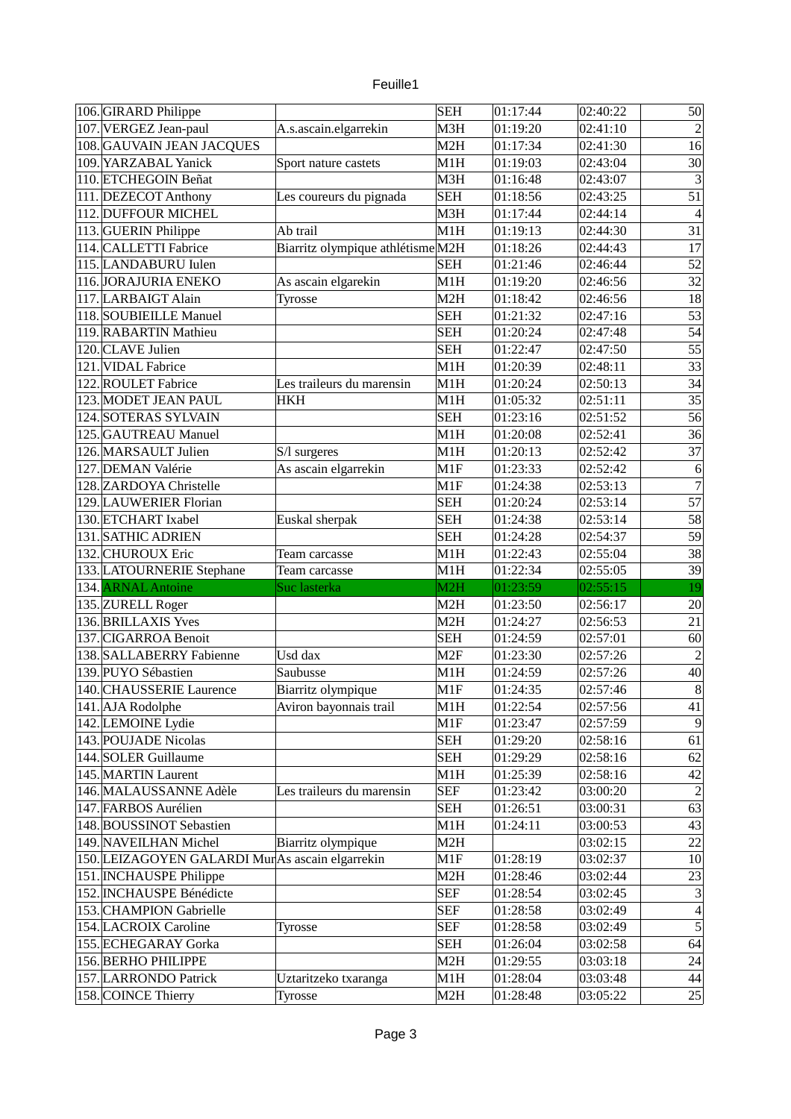| euille |  |
|--------|--|

|      | 106. GIRARD Philippe                            |                                   | <b>SEH</b>       | 01:17:44             | 02:40:22             | 50                       |
|------|-------------------------------------------------|-----------------------------------|------------------|----------------------|----------------------|--------------------------|
|      | 107. VERGEZ Jean-paul                           | A.s.ascain.elgarrekin             | M3H              | 01:19:20             | 02:41:10             | $\overline{2}$           |
|      | 108. GAUVAIN JEAN JACQUES                       |                                   | M <sub>2</sub> H | 01:17:34             | 02:41:30             | 16                       |
|      | 109. YARZABAL Yanick                            | Sport nature castets              | M1H              | 01:19:03             | 02:43:04             | 30                       |
|      | 110. ETCHEGOIN Beñat                            |                                   | M <sub>3</sub> H | 01:16:48             | 02:43:07             | 3                        |
|      | 111. DEZECOT Anthony                            | Les coureurs du pignada           | <b>SEH</b>       | 01:18:56             | 02:43:25             | $\overline{51}$          |
|      | 112. DUFFOUR MICHEL                             |                                   | M3H              | 01:17:44             | 02:44:14             | $\overline{4}$           |
|      | 113. GUERIN Philippe                            | Ab trail                          | M1H              | 01:19:13             | 02:44:30             | $\overline{31}$          |
|      | 114. CALLETTI Fabrice                           | Biarritz olympique athlétisme M2H |                  | 01:18:26             | 02:44:43             | 17                       |
|      | 115. LANDABURU Iulen                            |                                   | <b>SEH</b>       | 01:21:46             | 02:46:44             | 52                       |
|      | 116. JORAJURIA ENEKO                            | As ascain elgarekin               | M1H              | 01:19:20             | 02:46:56             | 32                       |
|      | 117. LARBAIGT Alain                             | Tyrosse                           | M <sub>2</sub> H | 01:18:42             | 02:46:56             | 18                       |
|      | 118. SOUBIEILLE Manuel                          |                                   | <b>SEH</b>       | 01:21:32             | 02:47:16             | $\overline{53}$          |
|      | 119. RABARTIN Mathieu                           |                                   | <b>SEH</b>       | 01:20:24             | 02:47:48             | $\overline{54}$          |
|      | 120. CLAVE Julien                               |                                   | <b>SEH</b>       | 01:22:47             | 02:47:50             | $\overline{55}$          |
| 121. | <b>VIDAL Fabrice</b>                            |                                   | M1H              | 01:20:39             | 02:48:11             | 33                       |
|      | 122. ROULET Fabrice                             | Les traileurs du marensin         | M <sub>1</sub> H | 01:20:24             | 02:50:13             | 34                       |
|      | 123. MODET JEAN PAUL                            | <b>HKH</b>                        | M1H              | 01:05:32             | 02:51:11             | 35                       |
|      | 124. SOTERAS SYLVAIN                            |                                   | <b>SEH</b>       | 01:23:16             | 02:51:52             | 56                       |
|      | 125. GAUTREAU Manuel                            |                                   | M1H              | 01:20:08             | 02:52:41             | 36                       |
|      | 126. MARSAULT Julien                            | S/l surgeres                      | M1H              | 01:20:13             | 02:52:42             | $\overline{37}$          |
|      | 127. DEMAN Valérie                              | As ascain elgarrekin              | M1F              | 01:23:33             | 02:52:42             | $\boldsymbol{6}$         |
|      | 128. ZARDOYA Christelle                         |                                   | $\vert$ M1F      | 01:24:38             | 02:53:13             | $\overline{7}$           |
|      |                                                 |                                   | <b>SEH</b>       | 01:20:24             | 02:53:14             | 57                       |
|      | 129. LAUWERIER Florian                          |                                   |                  |                      |                      |                          |
|      | 130. ETCHART Ixabel                             | Euskal sherpak                    | <b>SEH</b>       | 01:24:38             | 02:53:14             | 58                       |
|      | 131. SATHIC ADRIEN                              |                                   | <b>SEH</b>       | 01:24:28             | 02:54:37             | 59                       |
|      |                                                 |                                   |                  |                      |                      |                          |
|      | 132. CHUROUX Eric                               | Team carcasse                     | M1H              | 01:22:43             | 02:55:04             | 38                       |
|      | 133. LATOURNERIE Stephane                       | Team carcasse                     | M1H              | 01:22:34             | 02:55:05             | 39                       |
|      | 134. ARNAL Antoine                              | Suc lasterka                      | M2H              | 01:23:59             | 02:55:15             | 19                       |
|      | 135. ZURELL Roger                               |                                   | M2H              | 01:23:50             | 02:56:17             | 20                       |
|      | 136. BRILLAXIS Yves                             |                                   | M <sub>2</sub> H | 01:24:27             | 02:56:53             | 21                       |
|      | 137. CIGARROA Benoit                            |                                   | <b>SEH</b>       | 01:24:59             | 02:57:01             | 60                       |
|      | 138. SALLABERRY Fabienne                        | $\overline{U}$ sd dax             | M <sub>2F</sub>  | 01:23:30             | 02:57:26             | $\overline{c}$           |
|      | 139. PUYO Sébastien                             | Saubusse                          | M1H              | 01:24:59             | 02:57:26             | 40                       |
|      | 140. CHAUSSERIE Laurence                        | Biarritz olympique                | M1F              | 01:24:35             | 02:57:46             | $\overline{8}$           |
|      | 141. AJA Rodolphe                               | Aviron bayonnais trail            | M1H              | 01:22:54             | 02:57:56             | 41                       |
|      | 142. LEMOINE Lydie                              |                                   | M1F              | 01:23:47             | 02:57:59             | 9                        |
|      | 143. POUJADE Nicolas                            |                                   | <b>SEH</b>       | 01:29:20             | 02:58:16             | 61                       |
|      | 144. SOLER Guillaume                            |                                   | <b>SEH</b>       | 01:29:29             | 02:58:16             | 62                       |
|      | 145. MARTIN Laurent                             |                                   | M <sub>1</sub> H | 01:25:39             | 02:58:16             | 42                       |
|      | 146. MALAUSSANNE Adèle                          | Les traileurs du marensin         | <b>SEF</b>       | 01:23:42             | 03:00:20             | $\overline{c}$           |
|      | 147. FARBOS Aurélien                            |                                   | <b>SEH</b>       | 01:26:51             | 03:00:31             | 63                       |
|      | 148. BOUSSINOT Sebastien                        |                                   | M1H              | 01:24:11             | 03:00:53             | 43                       |
|      | 149. NAVEILHAN Michel                           | Biarritz olympique                | M2H              |                      | 03:02:15             | 22                       |
|      | 150. LEIZAGOYEN GALARDI MurAs ascain elgarrekin |                                   | M1F              | 01:28:19             | 03:02:37             | 10                       |
|      | 151. INCHAUSPE Philippe                         |                                   | M2H              | 01:28:46             | 03:02:44             | 23                       |
|      | 152. INCHAUSPE Bénédicte                        |                                   | <b>SEF</b>       | 01:28:54             | 03:02:45             | 3                        |
|      | 153. CHAMPION Gabrielle                         |                                   | <b>SEF</b>       | 01:28:58             | 03:02:49             | $\overline{\mathcal{A}}$ |
|      | 154. LACROIX Caroline                           | Tyrosse                           | <b>SEF</b>       | 01:28:58             | 03:02:49             | 5                        |
|      | 155. ECHEGARAY Gorka                            |                                   | <b>SEH</b>       | 01:26:04             | 03:02:58             | 64                       |
|      | 156. BERHO PHILIPPE                             |                                   | M2H              | 01:29:55             | 03:03:18             | 24                       |
|      | 157. LARRONDO Patrick<br>158. COINCE Thierry    | Uztaritzeko txaranga<br>Tyrosse   | M1H<br>M2H       | 01:28:04<br>01:28:48 | 03:03:48<br>03:05:22 | 44<br>$\overline{25}$    |